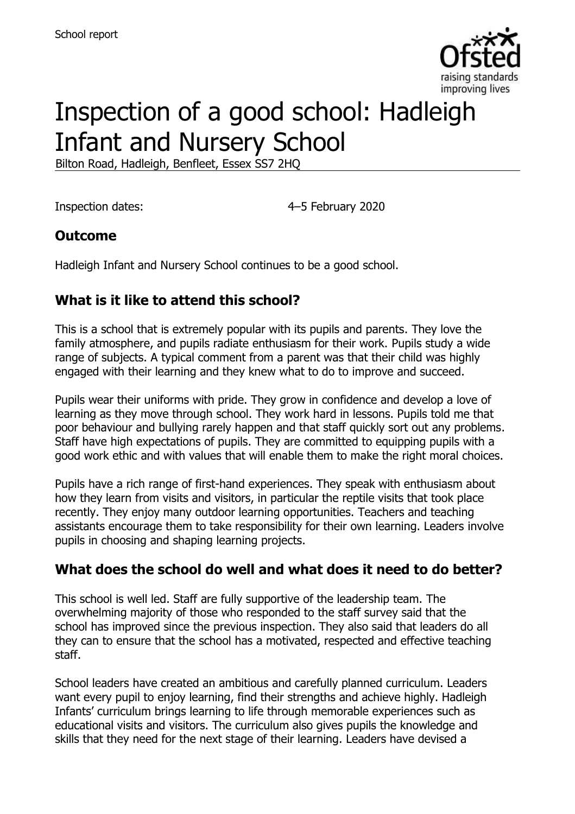

# Inspection of a good school: Hadleigh Infant and Nursery School

Bilton Road, Hadleigh, Benfleet, Essex SS7 2HQ

Inspection dates: 4–5 February 2020

## **Outcome**

Hadleigh Infant and Nursery School continues to be a good school.

## **What is it like to attend this school?**

This is a school that is extremely popular with its pupils and parents. They love the family atmosphere, and pupils radiate enthusiasm for their work. Pupils study a wide range of subjects. A typical comment from a parent was that their child was highly engaged with their learning and they knew what to do to improve and succeed.

Pupils wear their uniforms with pride. They grow in confidence and develop a love of learning as they move through school. They work hard in lessons. Pupils told me that poor behaviour and bullying rarely happen and that staff quickly sort out any problems. Staff have high expectations of pupils. They are committed to equipping pupils with a good work ethic and with values that will enable them to make the right moral choices.

Pupils have a rich range of first-hand experiences. They speak with enthusiasm about how they learn from visits and visitors, in particular the reptile visits that took place recently. They enjoy many outdoor learning opportunities. Teachers and teaching assistants encourage them to take responsibility for their own learning. Leaders involve pupils in choosing and shaping learning projects.

## **What does the school do well and what does it need to do better?**

This school is well led. Staff are fully supportive of the leadership team. The overwhelming majority of those who responded to the staff survey said that the school has improved since the previous inspection. They also said that leaders do all they can to ensure that the school has a motivated, respected and effective teaching staff.

School leaders have created an ambitious and carefully planned curriculum. Leaders want every pupil to enjoy learning, find their strengths and achieve highly. Hadleigh Infants' curriculum brings learning to life through memorable experiences such as educational visits and visitors. The curriculum also gives pupils the knowledge and skills that they need for the next stage of their learning. Leaders have devised a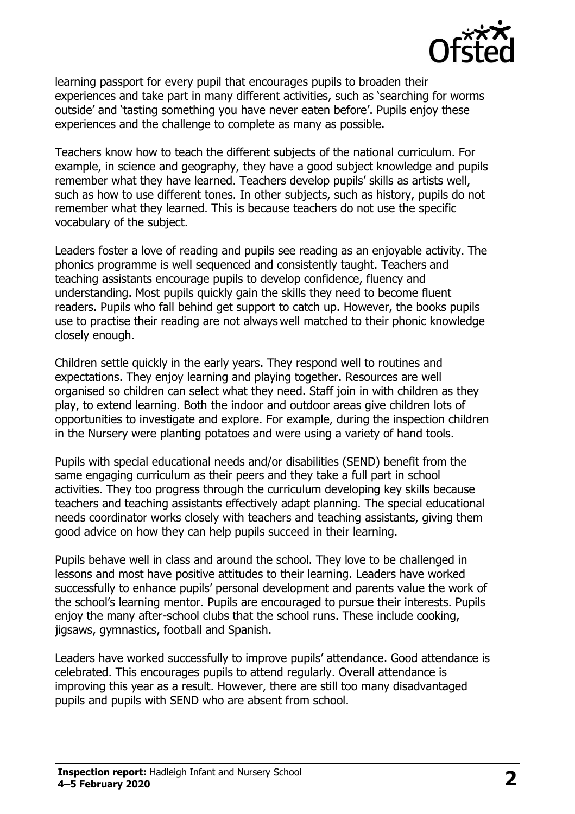

learning passport for every pupil that encourages pupils to broaden their experiences and take part in many different activities, such as 'searching for worms outside' and 'tasting something you have never eaten before'. Pupils enjoy these experiences and the challenge to complete as many as possible.

Teachers know how to teach the different subjects of the national curriculum. For example, in science and geography, they have a good subject knowledge and pupils remember what they have learned. Teachers develop pupils' skills as artists well, such as how to use different tones. In other subjects, such as history, pupils do not remember what they learned. This is because teachers do not use the specific vocabulary of the subject.

Leaders foster a love of reading and pupils see reading as an enjoyable activity. The phonics programme is well sequenced and consistently taught. Teachers and teaching assistants encourage pupils to develop confidence, fluency and understanding. Most pupils quickly gain the skills they need to become fluent readers. Pupils who fall behind get support to catch up. However, the books pupils use to practise their reading are not always well matched to their phonic knowledge closely enough.

Children settle quickly in the early years. They respond well to routines and expectations. They enjoy learning and playing together. Resources are well organised so children can select what they need. Staff join in with children as they play, to extend learning. Both the indoor and outdoor areas give children lots of opportunities to investigate and explore. For example, during the inspection children in the Nursery were planting potatoes and were using a variety of hand tools.

Pupils with special educational needs and/or disabilities (SEND) benefit from the same engaging curriculum as their peers and they take a full part in school activities. They too progress through the curriculum developing key skills because teachers and teaching assistants effectively adapt planning. The special educational needs coordinator works closely with teachers and teaching assistants, giving them good advice on how they can help pupils succeed in their learning.

Pupils behave well in class and around the school. They love to be challenged in lessons and most have positive attitudes to their learning. Leaders have worked successfully to enhance pupils' personal development and parents value the work of the school's learning mentor. Pupils are encouraged to pursue their interests. Pupils enjoy the many after-school clubs that the school runs. These include cooking, jigsaws, gymnastics, football and Spanish.

Leaders have worked successfully to improve pupils' attendance. Good attendance is celebrated. This encourages pupils to attend regularly. Overall attendance is improving this year as a result. However, there are still too many disadvantaged pupils and pupils with SEND who are absent from school.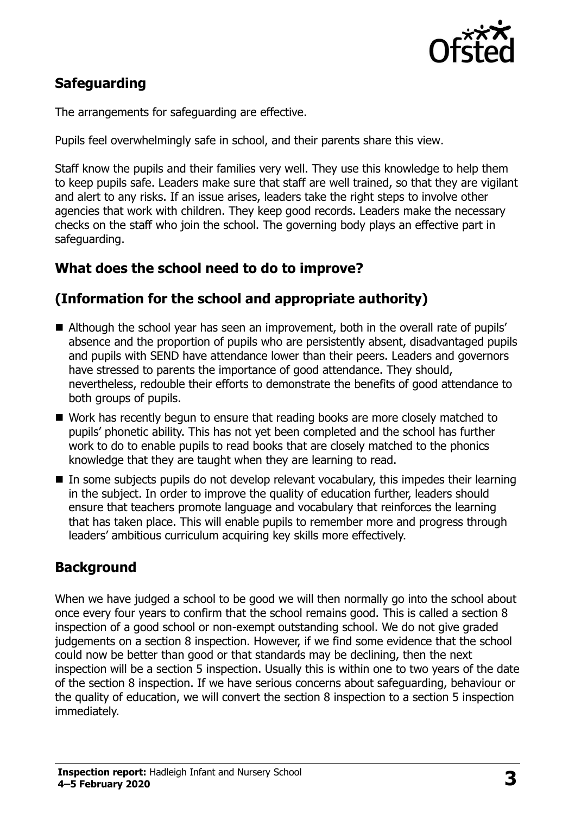

## **Safeguarding**

The arrangements for safeguarding are effective.

Pupils feel overwhelmingly safe in school, and their parents share this view.

Staff know the pupils and their families very well. They use this knowledge to help them to keep pupils safe. Leaders make sure that staff are well trained, so that they are vigilant and alert to any risks. If an issue arises, leaders take the right steps to involve other agencies that work with children. They keep good records. Leaders make the necessary checks on the staff who join the school. The governing body plays an effective part in safeguarding.

#### **What does the school need to do to improve?**

#### **(Information for the school and appropriate authority)**

- Although the school year has seen an improvement, both in the overall rate of pupils' absence and the proportion of pupils who are persistently absent, disadvantaged pupils and pupils with SEND have attendance lower than their peers. Leaders and governors have stressed to parents the importance of good attendance. They should, nevertheless, redouble their efforts to demonstrate the benefits of good attendance to both groups of pupils.
- Work has recently begun to ensure that reading books are more closely matched to pupils' phonetic ability. This has not yet been completed and the school has further work to do to enable pupils to read books that are closely matched to the phonics knowledge that they are taught when they are learning to read.
- In some subjects pupils do not develop relevant vocabulary, this impedes their learning in the subject. In order to improve the quality of education further, leaders should ensure that teachers promote language and vocabulary that reinforces the learning that has taken place. This will enable pupils to remember more and progress through leaders' ambitious curriculum acquiring key skills more effectively.

#### **Background**

When we have judged a school to be good we will then normally go into the school about once every four years to confirm that the school remains good. This is called a section 8 inspection of a good school or non-exempt outstanding school. We do not give graded judgements on a section 8 inspection. However, if we find some evidence that the school could now be better than good or that standards may be declining, then the next inspection will be a section 5 inspection. Usually this is within one to two years of the date of the section 8 inspection. If we have serious concerns about safeguarding, behaviour or the quality of education, we will convert the section 8 inspection to a section 5 inspection immediately.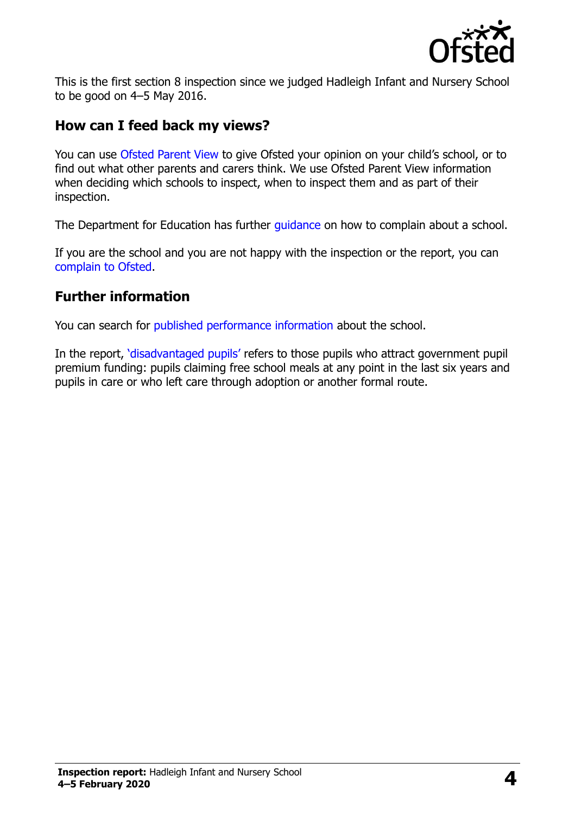

This is the first section 8 inspection since we judged Hadleigh Infant and Nursery School to be good on 4–5 May 2016.

#### **How can I feed back my views?**

You can use [Ofsted Parent View](https://parentview.ofsted.gov.uk/) to give Ofsted your opinion on your child's school, or to find out what other parents and carers think. We use Ofsted Parent View information when deciding which schools to inspect, when to inspect them and as part of their inspection.

The Department for Education has further quidance on how to complain about a school.

If you are the school and you are not happy with the inspection or the report, you can [complain to Ofsted.](https://www.gov.uk/complain-ofsted-report)

#### **Further information**

You can search for [published performance information](http://www.compare-school-performance.service.gov.uk/) about the school.

In the report, '[disadvantaged pupils](http://www.gov.uk/guidance/pupil-premium-information-for-schools-and-alternative-provision-settings)' refers to those pupils who attract government pupil premium funding: pupils claiming free school meals at any point in the last six years and pupils in care or who left care through adoption or another formal route.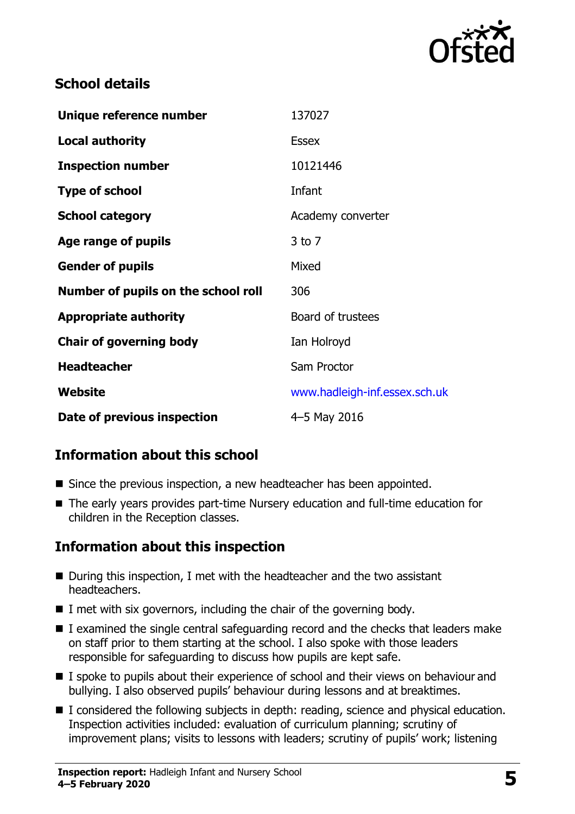

### **School details**

| Unique reference number             | 137027                        |
|-------------------------------------|-------------------------------|
| <b>Local authority</b>              | <b>Essex</b>                  |
| <b>Inspection number</b>            | 10121446                      |
| <b>Type of school</b>               | Infant                        |
| <b>School category</b>              | Academy converter             |
| Age range of pupils                 | $3$ to $7$                    |
| <b>Gender of pupils</b>             | Mixed                         |
| Number of pupils on the school roll | 306                           |
| <b>Appropriate authority</b>        | Board of trustees             |
| <b>Chair of governing body</b>      | Ian Holroyd                   |
| <b>Headteacher</b>                  | Sam Proctor                   |
| Website                             | www.hadleigh-inf.essex.sch.uk |
| Date of previous inspection         | 4-5 May 2016                  |

## **Information about this school**

- Since the previous inspection, a new headteacher has been appointed.
- The early years provides part-time Nursery education and full-time education for children in the Reception classes.

## **Information about this inspection**

- During this inspection, I met with the headteacher and the two assistant headteachers.
- $\blacksquare$  I met with six governors, including the chair of the governing body.
- I examined the single central safeguarding record and the checks that leaders make on staff prior to them starting at the school. I also spoke with those leaders responsible for safeguarding to discuss how pupils are kept safe.
- I spoke to pupils about their experience of school and their views on behaviour and bullying. I also observed pupils' behaviour during lessons and at breaktimes.
- I considered the following subjects in depth: reading, science and physical education. Inspection activities included: evaluation of curriculum planning; scrutiny of improvement plans; visits to lessons with leaders; scrutiny of pupils' work; listening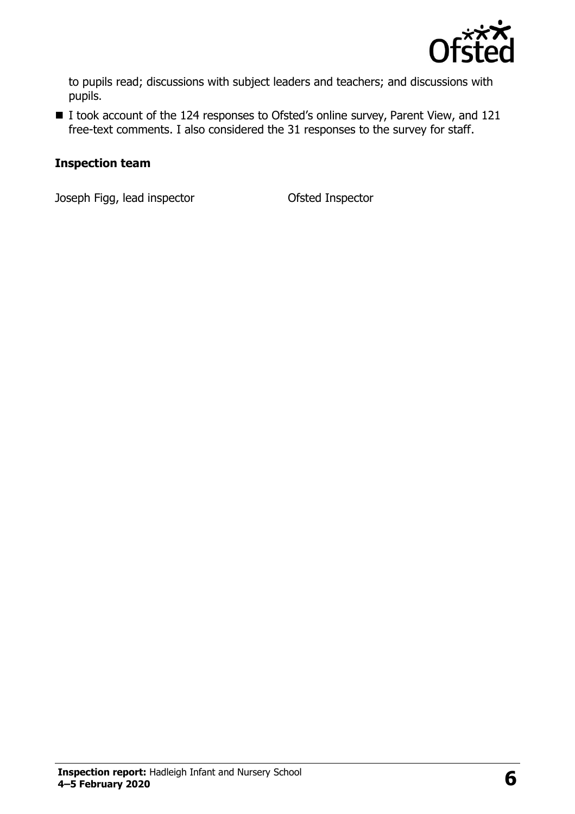

to pupils read; discussions with subject leaders and teachers; and discussions with pupils.

■ I took account of the 124 responses to Ofsted's online survey, Parent View, and 121 free-text comments. I also considered the 31 responses to the survey for staff.

#### **Inspection team**

Joseph Figg, lead inspector Ofsted Inspector